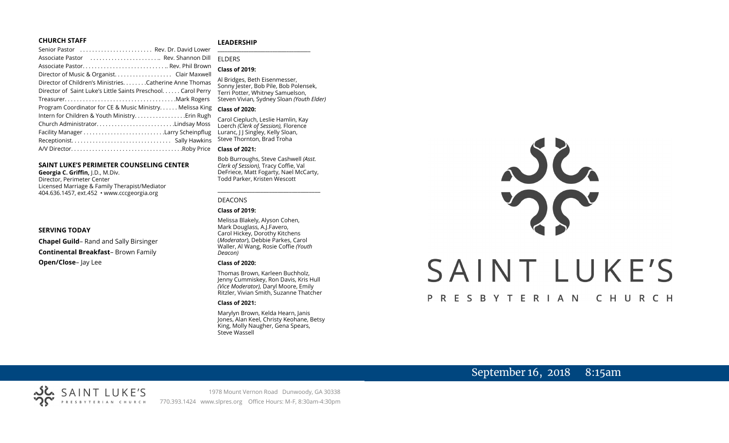### **CHURCH STAFF**

### **LEADERSHIP**

| Senior Pastor  Rev. Dr. David Lower                          |                                                                        |
|--------------------------------------------------------------|------------------------------------------------------------------------|
| Associate Pastor  Rev. Shannon Dill                          | <b>FIDERS</b>                                                          |
|                                                              | <b>Class of 2019:</b>                                                  |
|                                                              |                                                                        |
| Director of Children's MinistriesCatherine Anne Thomas       | Al Bridges, Beth Eisenmesser,                                          |
| Director of Saint Luke's Little Saints Preschool Carol Perry | Sonny Jester, Bob Pile, Bob Polens<br>Terri Potter, Whitney Samuelson, |
|                                                              | Steven Vivian, Sydney Sloan (Youth                                     |
| Program Coordinator for CE & Music Ministry. Melissa King    | <b>Class of 2020:</b>                                                  |
|                                                              | Carol Ciepluch, Leslie Hamlin, Kay                                     |
| Church AdministratorLindsay Moss                             | Loerch (Clerk of Session), Florence                                    |
|                                                              | Luranc, J J Singley, Kelly Sloan,                                      |
|                                                              | Steve Thornton, Brad Troha                                             |
|                                                              | <b>Class of 2021:</b>                                                  |
|                                                              |                                                                        |

### **SAINT LUKE'S PERIMETER COUNSELING CENTER**

**Georgia C. Griffin,** J.D., M.Div. Director, Perimeter Center Licensed Marriage & Family Therapist/Mediator 404.636.1457, ext.452 • www.cccgeorgia.org

### **SERVING TODAY**

**Chapel Guild**– Rand and Sally Birsinger **Continental Breakfast**– Brown Family **Open/Close**– Jay Lee

### Al Bridges, Beth Eisenmesser, Sonny Jester, Bob Pile, Bob Polensek, Terri Potter, Whitney Samuelson, Steven Vivian*,* Sydney Sloan *(Youth Elder)*

### **Class of 2020:**

### **Class of 2021:**

Bob Burroughs, Steve Cashwell *(Asst. Clerk of Session),* Tracy Coffie, Val DeFriece, Matt Fogarty, Nael McCarty, Todd Parker, Kristen Wescott

\_\_\_\_\_\_\_\_\_\_\_\_\_\_\_\_\_\_\_\_\_\_\_\_\_\_\_\_\_\_\_\_\_\_\_\_

### DEACONS

### **Class of 2019:**

Melissa Blakely, Alyson Cohen, Mark Douglass, A.J.Favero, Carol Hickey, Dorothy Kitchens (*Moderator*), Debbie Parkes, Carol Waller, Al Wang, Rosie Coffie *(Youth Deacon)* 

### **Class of 2020:**

Thomas Brown, Karleen Buchholz, Jenny Cummiskey, Ron Davis, Kris Hull *(Vice Moderator),* Daryl Moore, Emily Ritzler, Vivian Smith, Suzanne Thatcher

### **Class of 2021:**

Marylyn Brown, Kelda Hearn, Janis Jones, Alan Keel, Christy Keohane, Betsy King, Molly Naugher, Gena Spears, Steve Wassell

# NG SAINT LUKE'S PRESBYTERIAN CHURCH

# September 16, 2018 8:15am

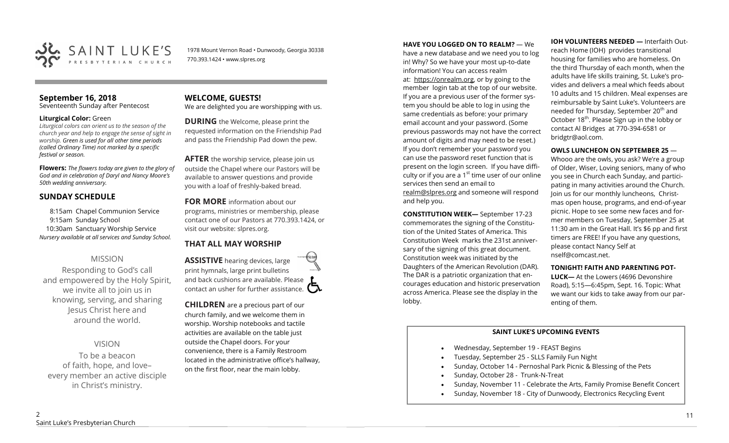

1978 Mount Vernon Road • Dunwoody, Georgia 30338 770.393.1424 • www.slpres.org

# **September 16, 2018**

Seventeenth Sunday after Pentecost

### **Liturgical Color:** Green

*Liturgical colors can orient us to the season of the church year and help to engage the sense of sight in worship. Green is used for all other time periods (called Ordinary Time) not marked by a specific festival or season.*

**Flowers:** *The flowers today are given to the glory of God and in celebration of Daryl and Nancy Moore's 50th wedding anniversary.*

# **SUNDAY SCHEDULE**

8:15am Chapel Communion Service 9:15am Sunday School 10:30am Sanctuary Worship Service *Nursery available at all services and Sunday School.* 

# MISSION

Responding to God's call and empowered by the Holy Spirit, we invite all to join us in knowing, serving, and sharing Jesus Christ here and around the world.

# VISION

To be a beacon of faith, hope, and love– every member an active disciple in Christ's ministry.

### **WELCOME, GUESTS!**  We are delighted you are worshipping with us.

**DURING** the Welcome, please print the requested information on the Friendship Pad and pass the Friendship Pad down the pew.

**AFTER** the worship service, please join us outside the Chapel where our Pastors will be available to answer questions and provide you with a loaf of freshly-baked bread.

**FOR MORE** information about our programs, ministries or membership, please contact one of our Pastors at 770.393.1424, or visit our website: slpres.org.

# **THAT ALL MAY WORSHIP**

**ASSISTIVE** hearing devices, large print hymnals, large print bulletins and back cushions are available. Please contact an usher for further assistance.  $\Box$ 

**CHILDREN** are a precious part of our church family, and we welcome them in worship. Worship notebooks and tactile activities are available on the table just outside the Chapel doors. For your convenience, there is a Family Restroom located in the administrative office's hallway, on the first floor, near the main lobby.

**HAVE YOU LOGGED ON TO REALM?** — We

have a new database and we need you to log in! Why? So we have your most up-to-date information! You can access realm at: [https://onrealm.org,](https://onrealm.org) or by going to the member login tab at the top of our website. If you are a previous user of the former system you should be able to log in using the same credentials as before: your primary email account and your password. (Some previous passwords may not have the correct amount of digits and may need to be reset.) If you don't remember your password you can use the password reset function that is present on the login screen. If you have difficulty or if you are a  $1<sup>st</sup>$  time user of our online services then send an email to [realm@slpres.org](mailto:realm@slpres.org) and someone will respond and help you.

**CONSTITUTION WEEK—** September 17-23 commemorates the signing of the Constitution of the United States of America. This Constitution Week marks the 231st anniversary of the signing of this great document. Constitution week was initiated by the Daughters of the American Revolution (DAR). The DAR is a patriotic organization that encourages education and historic preservation across America. Please see the display in the lobby.

**IOH VOLUNTEERS NEEDED —** Interfaith Outreach Home (IOH) provides transitional housing for families who are homeless. On the third Thursday of each month, when the adults have life skills training, St. Luke's provides and delivers a meal which feeds about 10 adults and 15 children. Meal expenses are reimbursable by Saint Luke's. Volunteers are needed for Thursday, September 20<sup>th</sup> and October 18<sup>th</sup>. Please Sign up in the lobby or contact Al Bridges at 770-394-6581 or bridgtr@aol.com.

# **OWLS LUNCHEON ON SEPTEMBER 25** —

Whooo are the owls, you ask? We're a group of Older, Wiser, Loving seniors, many of who you see in Church each Sunday, and participating in many activities around the Church. Join us for our monthly luncheons, Christmas open house, programs, and end-of-year picnic. Hope to see some new faces and former members on Tuesday, September 25 at 11:30 am in the Great Hall. It's \$6 pp and first timers are FREE! If you have any questions, please contact Nancy Self at nself@comcast.net.

# **TONIGHT! FAITH AND PARENTING POT-**

**LUCK—** At the Lowers (4696 Devonshire Road), 5:15—6:45pm, Sept. 16. Topic: What we want our kids to take away from our parenting of them.

# **SAINT LUKE'S UPCOMING EVENTS**

- Wednesday, September 19 FEAST Begins
- Tuesday, September 25 SLLS Family Fun Night
- Sunday, October 14 Pernoshal Park Picnic & Blessing of the Pets
- Sunday, October 28 Trunk-N-Treat
- Sunday, November 11 Celebrate the Arts, Family Promise Benefit Concert
- Sunday, November 18 City of Dunwoody, Electronics Recycling Event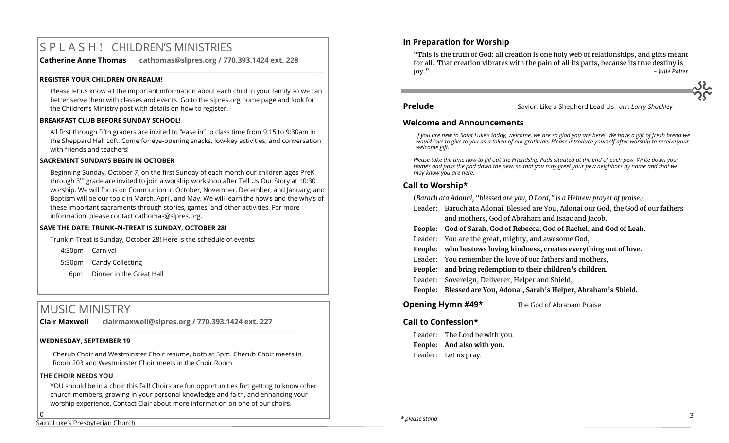# S P L A S H ! CHILDREN'S MINISTRIES

**Catherine Anne Thomas cathomas@slpres.org / 770.393.1424 ext. 228** 

### **REGISTER YOUR CHILDREN ON REALM!**

Please let us know all the important information about each child in your family so we can better serve them with classes and events. Go to the slpres.org home page and look for the Children's Ministry post with details on how to register.

**\_\_\_\_\_\_\_\_\_\_\_\_\_\_\_\_\_\_\_\_\_\_\_\_\_\_\_\_\_\_\_\_\_\_\_\_\_\_\_\_\_\_\_\_\_\_\_\_\_\_\_\_\_\_\_\_\_\_\_\_\_\_\_\_\_\_\_\_\_\_\_\_\_\_\_\_\_\_\_\_\_\_\_\_\_\_\_\_\_\_\_\_\_\_\_\_\_\_\_\_\_\_\_\_\_\_** 

### **BREAKFAST CLUB BEFORE SUNDAY SCHOOL!**

All first through fifth graders are invited to "ease in" to class time from 9:15 to 9:30am in the Sheppard Hall Loft. Come for eye-opening snacks, low-key activities, and conversation with friends and teachers!

# **SACREMENT SUNDAYS BEGIN IN OCTOBER**

Beginning Sunday, October 7, on the first Sunday of each month our children ages PreK through  $3^{rd}$  grade are invited to join a worship workshop after Tell Us Our Story at 10:30 worship. We will focus on Communion in October, November, December, and January; and Baptism will be our topic in March, April, and May. We will learn the how's and the why's of these important sacraments through stories, games, and other activities. For more information, please contact [cathomas@slpres.org.](mailto:cathomas@slpres.org) 

# **SAVE THE DATE: TRUNK–N-TREAT IS SUNDAY, OCTOBER 28!**

Trunk-n-Treat is Sunday, October 28! Here is the schedule of events:

4:30pm Carnival

5:30pm Candy Collecting

6pm Dinner in the Great Hall

# MUSIC MINISTRY

**Clair Maxwell clairmaxwell@slpres.org / 770.393.1424 ext. 227**   $\_$  , and the set of the set of the set of the set of the set of the set of the set of the set of the set of the set of the set of the set of the set of the set of the set of the set of the set of the set of the set of th

# **WEDNESDAY, SEPTEMBER 19**

Cherub Choir and Westminster Choir resume, both at 5pm. Cherub Choir meets in Room 203 and Westminster Choir meets in the Choir Room.

# **THE CHOIR NEEDS YOU**

10

YOU should be in a choir this fall! Choirs are fun opportunities for: getting to know other church members, growing in your personal knowledge and faith, and enhancing your worship experience. Contact Clair about more information on one of our choirs.

# **In Preparation for Worship**

"This is the truth of God: all creation is one holy web of relationships, and gifts meant for all. That creation vibrates with the pain of all its parts, because its true destiny is joy." *- Julie Polter*

# **Prelude** Savior, Like a Shepherd Lead Us *arr. Larry Shackley* **Prelude**

# **Welcome and Announcements**

*If you are new to Saint Luke's today, welcome, we are so glad you are here! We have a gift of fresh bread we would love to give to you as a token of our gratitude. Please introduce yourself after worship to receive your welcome gift.*

*Please take the time now to fill out the Friendship Pads situated at the end of each pew. Write down your names and pass the pad down the pew, so that you may greet your pew neighbors by name and that we may know you are here.*

# **Call to Worship\***

(*Barach ata Adonai, "blessed are you, O Lord," is a Hebrew prayer of praise.)*

- Leader: Baruch ata Adonai. Blessed are You, Adonai our God, the God of our fathers and mothers, God of Abraham and Isaac and Jacob.
- **People: God of Sarah, God of Rebecca, God of Rachel, and God of Leah.**
- Leader: You are the great, mighty, and awesome God,
- **People: who bestows loving kindness, creates everything out of love.**
- Leader: You remember the love of our fathers and mothers,
- **People: and bring redemption to their children's children.**
- Leader: Sovereign, Deliverer, Helper and Shield,
- **People: Blessed are You, Adonai, Sarah's Helper, Abraham's Shield.**
- **Opening Hymn #49\*** The God of Abraham Praise

# **Call to Confession\***

Leader: The Lord be with you. **People: And also with you.** Leader: Let us pray.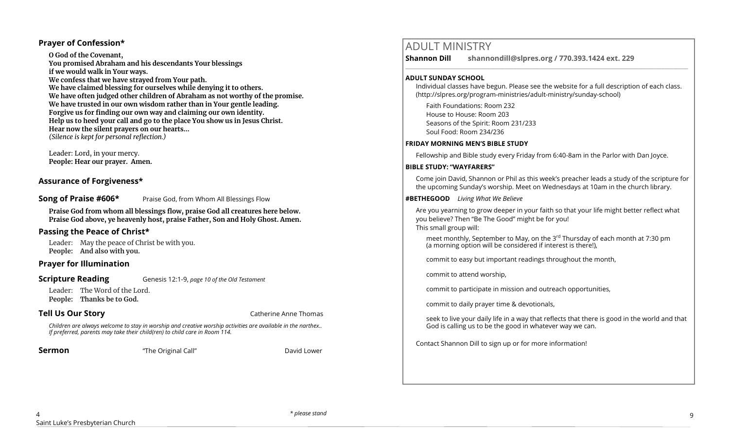# **Prayer of Confession\***

**O God of the Covenant, You promised Abraham and his descendants Your blessings if we would walk in Your ways. We confess that we have strayed from Your path. We have claimed blessing for ourselves while denying it to others. We have often judged other children of Abraham as not worthy of the promise. We have trusted in our own wisdom rather than in Your gentle leading. Forgive us for finding our own way and claiming our own identity. Help us to heed your call and go to the place You show us in Jesus Christ. Hear now the silent prayers on our hearts...** *(Silence is kept for personal reflection.)*

Leader: Lord, in your mercy. **People: Hear our prayer. Amen.**

# **Assurance of Forgiveness\***

**Song of Praise #606\*** Praise God, from Whom All Blessings Flow

**Praise God from whom all blessings flow, praise God all creatures here below. Praise God above, ye heavenly host, praise Father, Son and Holy Ghost. Amen.**

# **Passing the Peace of Christ\***

Leader: May the peace of Christ be with you. **People: And also with you.** 

# **Prayer for Illumination**

### **Scripture Reading** Genesis 12:1-9, *page 10 of the Old Testament*

Leader: The Word of the Lord. **People: Thanks be to God.** 

**Tell Us Our Story Catherine Anne Thomas Catherine Anne Thomas** 

*Children are always welcome to stay in worship and creative worship activities are available in the narthex.. If preferred, parents may take their child(ren) to child care in Room 114.*

**Sermon** The Original Call" **David Lower** David Lower

# ADULT MINISTRY

**Shannon Dill shannondill@slpres.org / 770.393.1424 ext. 229** 

### **ADULT SUNDAY SCHOOL**

Individual classes have begun. Please see the website for a full description of each class. (http://slpres.org/program-ministries/adult-ministry/sunday-school)

 $\_$  ,  $\_$  ,  $\_$  ,  $\_$  ,  $\_$  ,  $\_$  ,  $\_$  ,  $\_$  ,  $\_$  ,  $\_$  ,  $\_$  ,  $\_$  ,  $\_$  ,  $\_$  ,  $\_$  ,  $\_$  ,  $\_$  ,  $\_$  ,  $\_$  ,  $\_$ 

Faith Foundations: Room 232 House to House: Room 203 Seasons of the Spirit: Room 231/233 Soul Food: Room 234/236

### **FRIDAY MORNING MEN'S BIBLE STUDY**

Fellowship and Bible study every Friday from 6:40-8am in the Parlor with Dan Joyce.

### **BIBLE STUDY: "WAYFARERS"**

Come join David, Shannon or Phil as this week's preacher leads a study of the scripture for the upcoming Sunday's worship. Meet on Wednesdays at 10am in the church library.

### **#BETHEGOOD** *Living What We Believe*

Are you yearning to grow deeper in your faith so that your life might better reflect what you believe? Then "Be The Good" might be for you! This small group will:

meet monthly, September to May, on the 3<sup>rd</sup> Thursday of each month at 7:30 pm (a morning option will be considered if interest is there!),

commit to easy but important readings throughout the month,

commit to attend worship,

commit to participate in mission and outreach opportunities,

commit to daily prayer time & devotionals,

seek to live your daily life in a way that reflects that there is good in the world and that God is calling us to be the good in whatever way we can.

Contact Shannon Dill to sign up or for more information!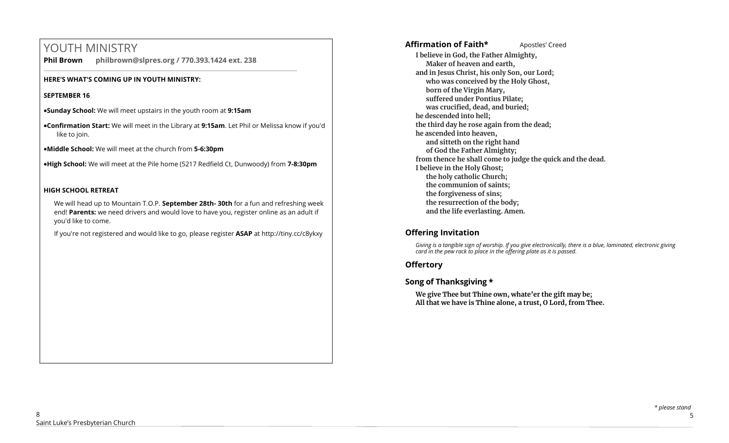# YOUTH MINISTRY

**Phil Brown philbrown@slpres.org / 770.393.1424 ext. 238** 

\_\_\_\_\_\_\_\_\_\_\_\_\_\_\_\_\_\_\_\_\_\_\_\_\_\_\_\_\_\_\_\_\_\_\_\_\_\_\_\_\_\_\_\_\_\_\_\_\_\_\_\_\_\_\_\_\_\_\_\_\_\_\_\_\_\_\_\_\_\_\_\_\_\_\_\_\_\_\_\_\_\_\_\_\_\_\_

# **HERE'S WHAT'S COMING UP IN YOUTH MINISTRY:**

# **SEPTEMBER 16**

•**Sunday School:** We will meet upstairs in the youth room at **9:15am**

- •**Confirmation Start:** We will meet in the Library at **9:15am**. Let Phil or Melissa know if you'd like to join.
- •**Middle School:** We will meet at the church from **5-6:30pm**

•**High School:** We will meet at the Pile home (5217 Redfield Ct, Dunwoody) from **7-8:30pm**

# **HIGH SCHOOL RETREAT**

We will head up to Mountain T.O.P. **September 28th- 30th** for a fun and refreshing week end! **Parents:** we need drivers and would love to have you, register online as an adult if you'd like to come.

If you're not registered and would like to go, please register **ASAP** at <http://tiny.cc/c8ykxy>

Affirmation of Faith\* **Apostles'** Creed **I believe in God, the Father Almighty, Maker of heaven and earth, and in Jesus Christ, his only Son, our Lord; who was conceived by the Holy Ghost, born of the Virgin Mary, suffered under Pontius Pilate; was crucified, dead, and buried; he descended into hell; the third day he rose again from the dead; he ascended into heaven, and sitteth on the right hand of God the Father Almighty; from thence he shall come to judge the quick and the dead. I believe in the Holy Ghost; the holy catholic Church; the communion of saints; the forgiveness of sins; the resurrection of the body; and the life everlasting. Amen.**

# **Offering Invitation**

*Giving is a tangible sign of worship. If you give electronically, there is a blue, laminated, electronic giving card in the pew rack to place in the offering plate as it is passed.*

# **Offertory**

# **Song of Thanksgiving**

**We give Thee but Thine own, whate'er the gift may be; All that we have is Thine alone, a trust, O Lord, from Thee.**